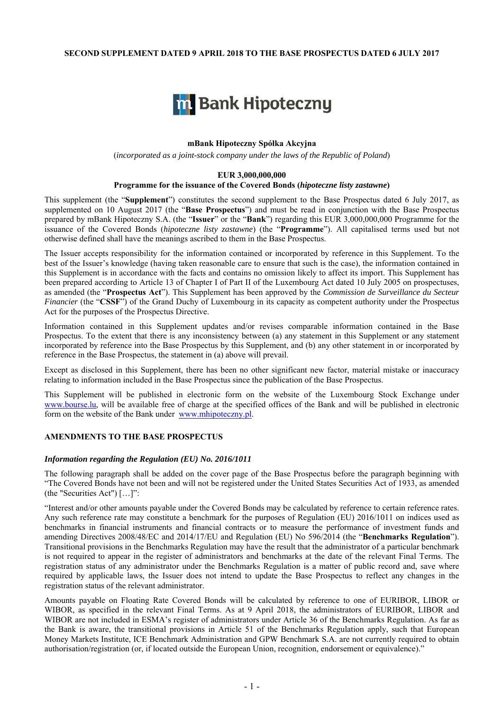### **SECOND SUPPLEMENT DATED 9 APRIL 2018 TO THE BASE PROSPECTUS DATED 6 JULY 2017**



### **mBank Hipoteczny Spółka Akcyjna**

(*incorporated as a joint-stock company under the laws of the Republic of Poland*)

### **EUR 3,000,000,000**

### **Programme for the issuance of the Covered Bonds (***hipoteczne listy zastawne***)**

This supplement (the "**Supplement**") constitutes the second supplement to the Base Prospectus dated 6 July 2017, as supplemented on 10 August 2017 (the "**Base Prospectus**") and must be read in conjunction with the Base Prospectus prepared by mBank Hipoteczny S.A. (the "**Issuer**" or the "**Bank**") regarding this EUR 3,000,000,000 Programme for the issuance of the Covered Bonds (*hipoteczne listy zastawne*) (the "**Programme**"). All capitalised terms used but not otherwise defined shall have the meanings ascribed to them in the Base Prospectus.

The Issuer accepts responsibility for the information contained or incorporated by reference in this Supplement. To the best of the Issuer's knowledge (having taken reasonable care to ensure that such is the case), the information contained in this Supplement is in accordance with the facts and contains no omission likely to affect its import. This Supplement has been prepared according to Article 13 of Chapter I of Part II of the Luxembourg Act dated 10 July 2005 on prospectuses, as amended (the "**Prospectus Act**"). This Supplement has been approved by the *Commission de Surveillance du Secteur Financier* (the "CSSF") of the Grand Duchy of Luxembourg in its capacity as competent authority under the Prospectus Act for the purposes of the Prospectus Directive.

Information contained in this Supplement updates and/or revises comparable information contained in the Base Prospectus. To the extent that there is any inconsistency between (a) any statement in this Supplement or any statement incorporated by reference into the Base Prospectus by this Supplement, and (b) any other statement in or incorporated by reference in the Base Prospectus, the statement in (a) above will prevail.

Except as disclosed in this Supplement, there has been no other significant new factor, material mistake or inaccuracy relating to information included in the Base Prospectus since the publication of the Base Prospectus.

This Supplement will be published in electronic form on the website of the Luxembourg Stock Exchange under www.bourse.lu, will be available free of charge at the specified offices of the Bank and will be published in electronic form on the website of the Bank under www.mhipoteczny.pl.

## **AMENDMENTS TO THE BASE PROSPECTUS**

### *Information regarding the Regulation (EU) No. 2016/1011*

The following paragraph shall be added on the cover page of the Base Prospectus before the paragraph beginning with "The Covered Bonds have not been and will not be registered under the United States Securities Act of 1933, as amended (the "Securities Act") […]":

"Interest and/or other amounts payable under the Covered Bonds may be calculated by reference to certain reference rates. Any such reference rate may constitute a benchmark for the purposes of Regulation (EU) 2016/1011 on indices used as benchmarks in financial instruments and financial contracts or to measure the performance of investment funds and amending Directives 2008/48/EC and 2014/17/EU and Regulation (EU) No 596/2014 (the "**Benchmarks Regulation**"). Transitional provisions in the Benchmarks Regulation may have the result that the administrator of a particular benchmark is not required to appear in the register of administrators and benchmarks at the date of the relevant Final Terms. The registration status of any administrator under the Benchmarks Regulation is a matter of public record and, save where required by applicable laws, the Issuer does not intend to update the Base Prospectus to reflect any changes in the registration status of the relevant administrator.

Amounts payable on Floating Rate Covered Bonds will be calculated by reference to one of EURIBOR, LIBOR or WIBOR, as specified in the relevant Final Terms. As at 9 April 2018, the administrators of EURIBOR, LIBOR and WIBOR are not included in ESMA's register of administrators under Article 36 of the Benchmarks Regulation. As far as the Bank is aware, the transitional provisions in Article 51 of the Benchmarks Regulation apply, such that European Money Markets Institute, ICE Benchmark Administration and GPW Benchmark S.A. are not currently required to obtain authorisation/registration (or, if located outside the European Union, recognition, endorsement or equivalence)."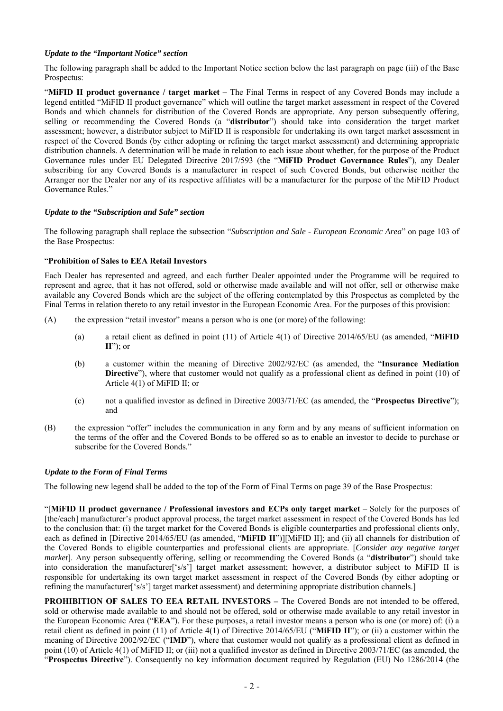# *Update to the "Important Notice" section*

The following paragraph shall be added to the Important Notice section below the last paragraph on page (iii) of the Base Prospectus:

"**MiFID II product governance / target market** – The Final Terms in respect of any Covered Bonds may include a legend entitled "MiFID II product governance" which will outline the target market assessment in respect of the Covered Bonds and which channels for distribution of the Covered Bonds are appropriate. Any person subsequently offering, selling or recommending the Covered Bonds (a "**distributor**") should take into consideration the target market assessment; however, a distributor subject to MiFID II is responsible for undertaking its own target market assessment in respect of the Covered Bonds (by either adopting or refining the target market assessment) and determining appropriate distribution channels. A determination will be made in relation to each issue about whether, for the purpose of the Product Governance rules under EU Delegated Directive 2017/593 (the "**MiFID Product Governance Rules**"), any Dealer subscribing for any Covered Bonds is a manufacturer in respect of such Covered Bonds, but otherwise neither the Arranger nor the Dealer nor any of its respective affiliates will be a manufacturer for the purpose of the MiFID Product Governance Rules."

## *Update to the "Subscription and Sale" section*

The following paragraph shall replace the subsection "*Subscription and Sale - European Economic Area*" on page 103 of the Base Prospectus:

# "**Prohibition of Sales to EEA Retail Investors**

Each Dealer has represented and agreed, and each further Dealer appointed under the Programme will be required to represent and agree, that it has not offered, sold or otherwise made available and will not offer, sell or otherwise make available any Covered Bonds which are the subject of the offering contemplated by this Prospectus as completed by the Final Terms in relation thereto to any retail investor in the European Economic Area. For the purposes of this provision:

- (A) the expression "retail investor" means a person who is one (or more) of the following:
	- (a) a retail client as defined in point (11) of Article 4(1) of Directive 2014/65/EU (as amended, "**MiFID II**"); or
	- (b) a customer within the meaning of Directive 2002/92/EC (as amended, the "**Insurance Mediation Directive**"), where that customer would not qualify as a professional client as defined in point (10) of Article 4(1) of MiFID II; or
	- (c) not a qualified investor as defined in Directive 2003/71/EC (as amended, the "**Prospectus Directive**"); and
- (B) the expression "offer" includes the communication in any form and by any means of sufficient information on the terms of the offer and the Covered Bonds to be offered so as to enable an investor to decide to purchase or subscribe for the Covered Bonds."

# *Update to the Form of Final Terms*

The following new legend shall be added to the top of the Form of Final Terms on page 39 of the Base Prospectus:

"[**MiFID II product governance / Professional investors and ECPs only target market** – Solely for the purposes of [the/each] manufacturer's product approval process, the target market assessment in respect of the Covered Bonds has led to the conclusion that: (i) the target market for the Covered Bonds is eligible counterparties and professional clients only, each as defined in [Directive 2014/65/EU (as amended, "**MiFID II**")][MiFID II]; and (ii) all channels for distribution of the Covered Bonds to eligible counterparties and professional clients are appropriate. [*Consider any negative target market*]. Any person subsequently offering, selling or recommending the Covered Bonds (a "**distributor**") should take into consideration the manufacturer['s/s'] target market assessment; however, a distributor subject to MiFID II is responsible for undertaking its own target market assessment in respect of the Covered Bonds (by either adopting or refining the manufacturer<sup>['s/s']</sup> target market assessment) and determining appropriate distribution channels.]

**PROHIBITION OF SALES TO EEA RETAIL INVESTORS – The Covered Bonds are not intended to be offered,** sold or otherwise made available to and should not be offered, sold or otherwise made available to any retail investor in the European Economic Area ("**EEA**"). For these purposes, a retail investor means a person who is one (or more) of: (i) a retail client as defined in point (11) of Article 4(1) of Directive 2014/65/EU ("**MiFID II**"); or (ii) a customer within the meaning of Directive 2002/92/EC ("**IMD**"), where that customer would not qualify as a professional client as defined in point (10) of Article 4(1) of MiFID II; or (iii) not a qualified investor as defined in Directive 2003/71/EC (as amended, the "**Prospectus Directive**"). Consequently no key information document required by Regulation (EU) No 1286/2014 (the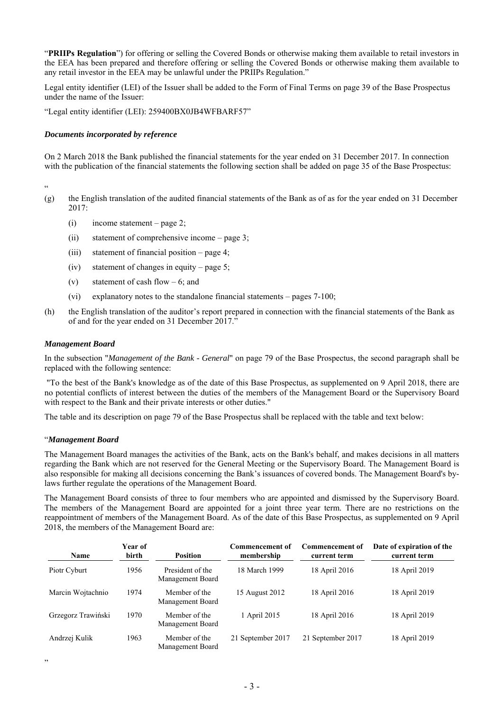"**PRIIPs Regulation**") for offering or selling the Covered Bonds or otherwise making them available to retail investors in the EEA has been prepared and therefore offering or selling the Covered Bonds or otherwise making them available to any retail investor in the EEA may be unlawful under the PRIIPs Regulation."

Legal entity identifier (LEI) of the Issuer shall be added to the Form of Final Terms on page 39 of the Base Prospectus under the name of the Issuer:

"Legal entity identifier (LEI): 259400BX0JB4WFBARF57"

### *Documents incorporated by reference*

On 2 March 2018 the Bank published the financial statements for the year ended on 31 December 2017. In connection with the publication of the financial statements the following section shall be added on page 35 of the Base Prospectus:

"

- (g) the English translation of the audited financial statements of the Bank as of as for the year ended on 31 December 2017:
	- (i) income statement page 2;
	- (ii) statement of comprehensive income page 3;
	- (iii) statement of financial position page 4;
	- (iv) statement of changes in equity page 5;
	- (v) statement of cash flow  $-6$ ; and
	- (vi) explanatory notes to the standalone financial statements pages 7-100;
- (h) the English translation of the auditor's report prepared in connection with the financial statements of the Bank as of and for the year ended on 31 December 2017."

### *Management Board*

In the subsection "*Management of the Bank - General*" on page 79 of the Base Prospectus, the second paragraph shall be replaced with the following sentence:

 "To the best of the Bank's knowledge as of the date of this Base Prospectus, as supplemented on 9 April 2018, there are no potential conflicts of interest between the duties of the members of the Management Board or the Supervisory Board with respect to the Bank and their private interests or other duties."

The table and its description on page 79 of the Base Prospectus shall be replaced with the table and text below:

### "*Management Board*

The Management Board manages the activities of the Bank, acts on the Bank's behalf, and makes decisions in all matters regarding the Bank which are not reserved for the General Meeting or the Supervisory Board. The Management Board is also responsible for making all decisions concerning the Bank's issuances of covered bonds. The Management Board's bylaws further regulate the operations of the Management Board.

The Management Board consists of three to four members who are appointed and dismissed by the Supervisory Board. The members of the Management Board are appointed for a joint three year term. There are no restrictions on the reappointment of members of the Management Board. As of the date of this Base Prospectus, as supplemented on 9 April 2018, the members of the Management Board are:

| <b>Name</b>        | <b>Year of</b><br>birth | <b>Position</b>                      | Commencement of<br>membership | <b>Commencement of</b><br>current term | Date of expiration of the<br>current term |
|--------------------|-------------------------|--------------------------------------|-------------------------------|----------------------------------------|-------------------------------------------|
| Piotr Cyburt       | 1956                    | President of the<br>Management Board | 18 March 1999                 | 18 April 2016                          | 18 April 2019                             |
| Marcin Wojtachnio  | 1974                    | Member of the<br>Management Board    | 15 August 2012                | 18 April 2016                          | 18 April 2019                             |
| Grzegorz Trawiński | 1970                    | Member of the<br>Management Board    | 1 April 2015                  | 18 April 2016                          | 18 April 2019                             |
| Andrzej Kulik      | 1963                    | Member of the<br>Management Board    | 21 September 2017             | 21 September 2017                      | 18 April 2019                             |